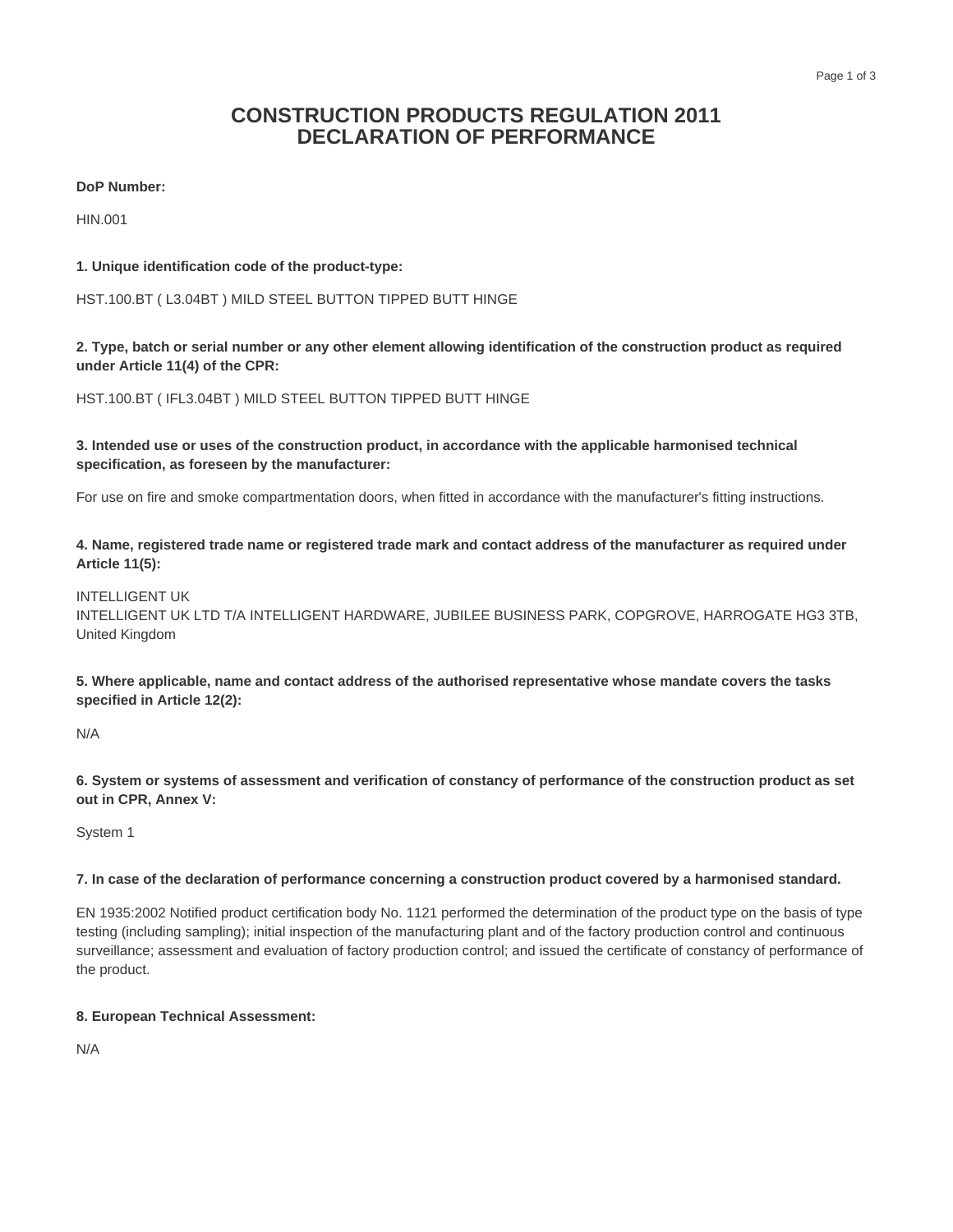# **CONSTRUCTION PRODUCTS REGULATION 2011 DECLARATION OF PERFORMANCE**

# **DoP Number:**

HIN.001

# **1. Unique identification code of the product-type:**

HST.100.BT ( L3.04BT ) MILD STEEL BUTTON TIPPED BUTT HINGE

**2. Type, batch or serial number or any other element allowing identification of the construction product as required under Article 11(4) of the CPR:**

HST.100.BT ( IFL3.04BT ) MILD STEEL BUTTON TIPPED BUTT HINGE

**3. Intended use or uses of the construction product, in accordance with the applicable harmonised technical specification, as foreseen by the manufacturer:**

For use on fire and smoke compartmentation doors, when fitted in accordance with the manufacturer's fitting instructions.

**4. Name, registered trade name or registered trade mark and contact address of the manufacturer as required under Article 11(5):**

#### INTELLIGENT UK

INTELLIGENT UK LTD T/A INTELLIGENT HARDWARE, JUBILEE BUSINESS PARK, COPGROVE, HARROGATE HG3 3TB, United Kingdom

**5. Where applicable, name and contact address of the authorised representative whose mandate covers the tasks specified in Article 12(2):**

N/A

**6. System or systems of assessment and verification of constancy of performance of the construction product as set out in CPR, Annex V:**

System 1

#### **7. In case of the declaration of performance concerning a construction product covered by a harmonised standard.**

EN 1935:2002 Notified product certification body No. 1121 performed the determination of the product type on the basis of type testing (including sampling); initial inspection of the manufacturing plant and of the factory production control and continuous surveillance; assessment and evaluation of factory production control; and issued the certificate of constancy of performance of the product.

# **8. European Technical Assessment:**

N/A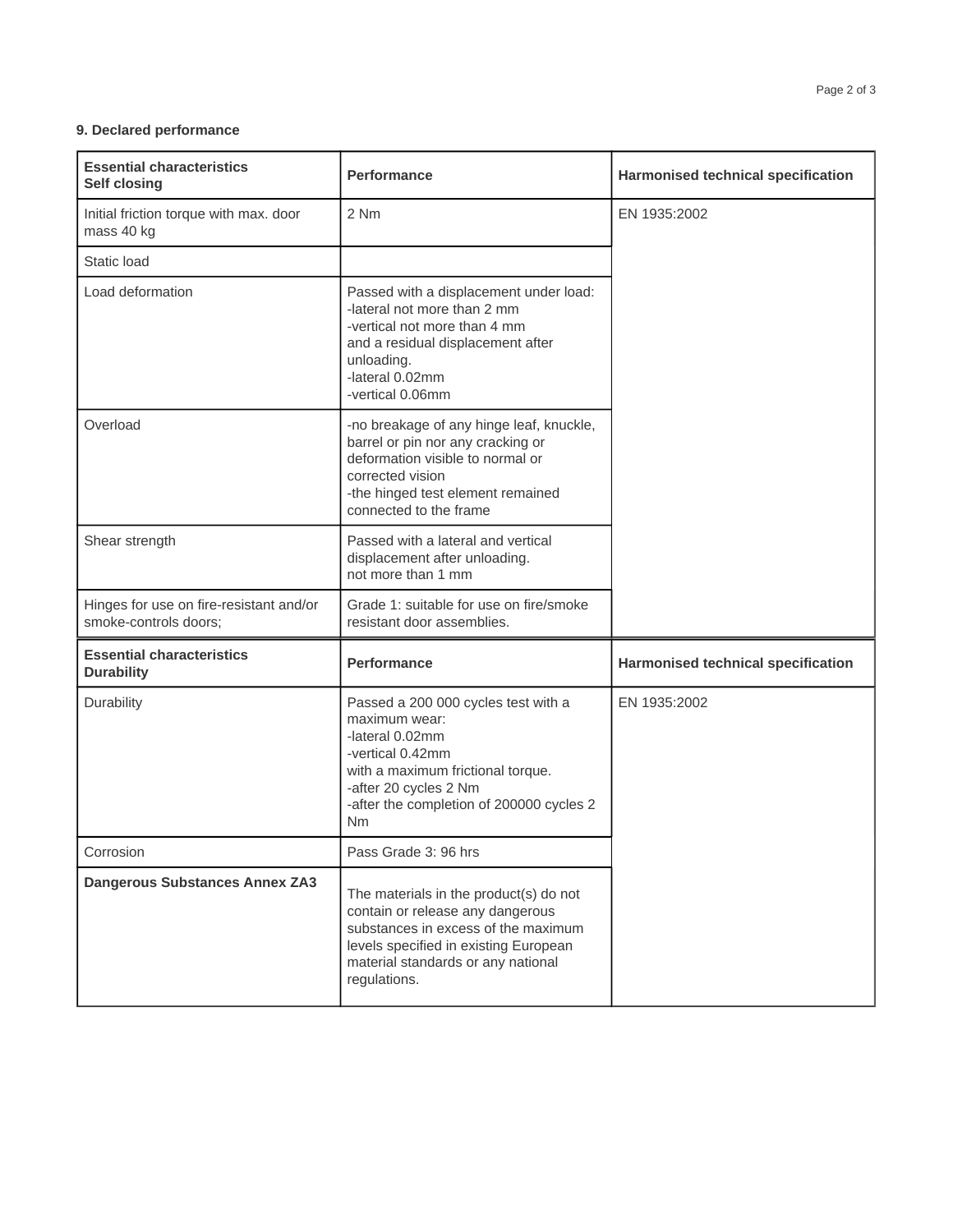# **9. Declared performance**

| <b>Essential characteristics</b><br><b>Self closing</b>          | <b>Performance</b>                                                                                                                                                                                               | Harmonised technical specification        |
|------------------------------------------------------------------|------------------------------------------------------------------------------------------------------------------------------------------------------------------------------------------------------------------|-------------------------------------------|
| Initial friction torque with max. door<br>mass 40 kg             | 2 Nm                                                                                                                                                                                                             | EN 1935:2002                              |
| Static load                                                      |                                                                                                                                                                                                                  |                                           |
| Load deformation                                                 | Passed with a displacement under load:<br>-lateral not more than 2 mm<br>-vertical not more than 4 mm<br>and a residual displacement after<br>unloading.<br>-lateral 0.02mm<br>-vertical 0.06mm                  |                                           |
| Overload                                                         | -no breakage of any hinge leaf, knuckle,<br>barrel or pin nor any cracking or<br>deformation visible to normal or<br>corrected vision<br>-the hinged test element remained<br>connected to the frame             |                                           |
| Shear strength                                                   | Passed with a lateral and vertical<br>displacement after unloading.<br>not more than 1 mm                                                                                                                        |                                           |
| Hinges for use on fire-resistant and/or<br>smoke-controls doors; | Grade 1: suitable for use on fire/smoke<br>resistant door assemblies.                                                                                                                                            |                                           |
| <b>Essential characteristics</b><br><b>Durability</b>            | <b>Performance</b>                                                                                                                                                                                               | <b>Harmonised technical specification</b> |
| Durability                                                       | Passed a 200 000 cycles test with a<br>maximum wear:<br>-lateral 0.02mm<br>-vertical 0.42mm<br>with a maximum frictional torque.<br>-after 20 cycles 2 Nm<br>-after the completion of 200000 cycles 2<br>Nm      | EN 1935:2002                              |
| Corrosion                                                        | Pass Grade 3: 96 hrs                                                                                                                                                                                             |                                           |
| <b>Dangerous Substances Annex ZA3</b>                            | The materials in the product(s) do not<br>contain or release any dangerous<br>substances in excess of the maximum<br>levels specified in existing European<br>material standards or any national<br>regulations. |                                           |